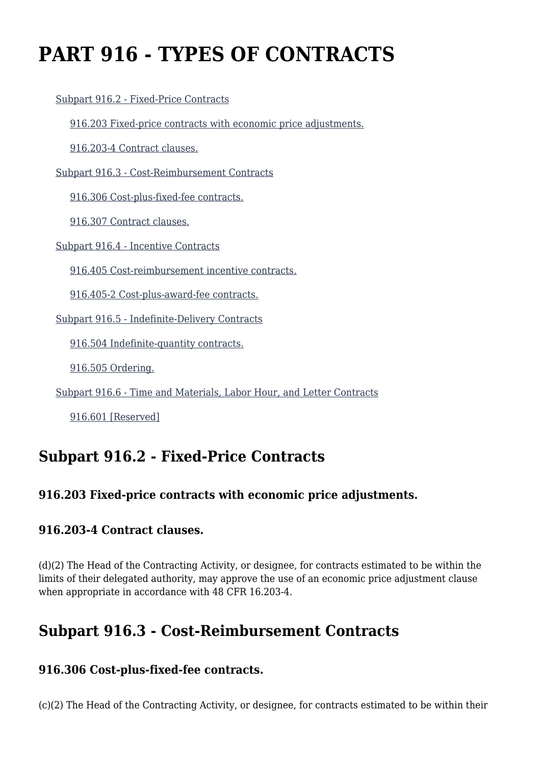# **PART 916 - TYPES OF CONTRACTS**

[Subpart 916.2 - Fixed-Price Contracts](https://www.acquisition.gov/%5Brp:link:dears-part-916%5D#Subpart_916_2_T48_50320161)

[916.203 Fixed-price contracts with economic price adjustments.](https://www.acquisition.gov/%5Brp:link:dears-part-916%5D#Section_916_203_T48_5032016111)

[916.203-4 Contract clauses.](https://www.acquisition.gov/%5Brp:link:dears-part-916%5D#Section_916_203_4_T48_5032016112)

[Subpart 916.3 - Cost-Reimbursement Contracts](https://www.acquisition.gov/%5Brp:link:dears-part-916%5D#Subpart_916_3_T48_50320162)

[916.306 Cost-plus-fixed-fee contracts.](https://www.acquisition.gov/%5Brp:link:dears-part-916%5D#Section_916_306_T48_5032016211)

[916.307 Contract clauses.](https://www.acquisition.gov/%5Brp:link:dears-part-916%5D#Section_916_307_T48_5032016212)

[Subpart 916.4 - Incentive Contracts](https://www.acquisition.gov/%5Brp:link:dears-part-916%5D#Subpart_916_4_T48_50320163)

[916.405 Cost-reimbursement incentive contracts.](https://www.acquisition.gov/%5Brp:link:dears-part-916%5D#Section_916_405_T48_5032016311)

[916.405-2 Cost-plus-award-fee contracts.](https://www.acquisition.gov/%5Brp:link:dears-part-916%5D#Section_916_405_2_T48_5032016312)

[Subpart 916.5 - Indefinite-Delivery Contracts](https://www.acquisition.gov/%5Brp:link:dears-part-916%5D#Subpart_916_5_T48_50320164)

[916.504 Indefinite-quantity contracts.](https://www.acquisition.gov/%5Brp:link:dears-part-916%5D#Section_916_504_T48_5032016411)

[916.505 Ordering.](https://www.acquisition.gov/%5Brp:link:dears-part-916%5D#Section_916_505_T48_5032016412)

[Subpart 916.6 - Time and Materials, Labor Hour, and Letter Contracts](https://www.acquisition.gov/%5Brp:link:dears-part-916%5D#Subpart_916_6_T48_50320165)

[916.601 \[Reserved\]](https://www.acquisition.gov/%5Brp:link:dears-part-916%5D#Section_916_601_T48_5032016511)

### **Subpart 916.2 - Fixed-Price Contracts**

#### **916.203 Fixed-price contracts with economic price adjustments.**

#### **916.203-4 Contract clauses.**

(d)(2) The Head of the Contracting Activity, or designee, for contracts estimated to be within the limits of their delegated authority, may approve the use of an economic price adjustment clause when appropriate in accordance with 48 CFR 16.203-4.

# **Subpart 916.3 - Cost-Reimbursement Contracts**

#### **916.306 Cost-plus-fixed-fee contracts.**

(c)(2) The Head of the Contracting Activity, or designee, for contracts estimated to be within their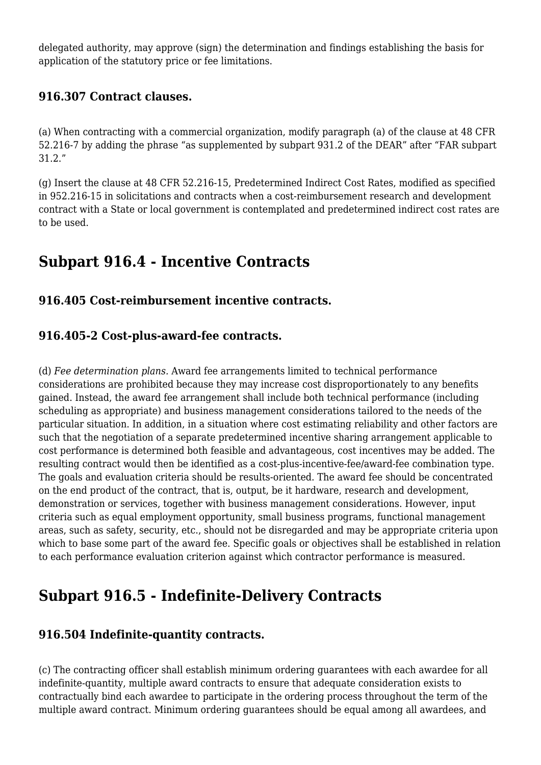delegated authority, may approve (sign) the determination and findings establishing the basis for application of the statutory price or fee limitations.

#### **916.307 Contract clauses.**

(a) When contracting with a commercial organization, modify paragraph (a) of the clause at 48 CFR 52.216-7 by adding the phrase "as supplemented by subpart 931.2 of the DEAR" after "FAR subpart 31.2."

(g) Insert the clause at 48 CFR 52.216-15, Predetermined Indirect Cost Rates, modified as specified in 952.216-15 in solicitations and contracts when a cost-reimbursement research and development contract with a State or local government is contemplated and predetermined indirect cost rates are to be used.

# **Subpart 916.4 - Incentive Contracts**

### **916.405 Cost-reimbursement incentive contracts.**

### **916.405-2 Cost-plus-award-fee contracts.**

(d) *Fee determination plans.* Award fee arrangements limited to technical performance considerations are prohibited because they may increase cost disproportionately to any benefits gained. Instead, the award fee arrangement shall include both technical performance (including scheduling as appropriate) and business management considerations tailored to the needs of the particular situation. In addition, in a situation where cost estimating reliability and other factors are such that the negotiation of a separate predetermined incentive sharing arrangement applicable to cost performance is determined both feasible and advantageous, cost incentives may be added. The resulting contract would then be identified as a cost-plus-incentive-fee/award-fee combination type. The goals and evaluation criteria should be results-oriented. The award fee should be concentrated on the end product of the contract, that is, output, be it hardware, research and development, demonstration or services, together with business management considerations. However, input criteria such as equal employment opportunity, small business programs, functional management areas, such as safety, security, etc., should not be disregarded and may be appropriate criteria upon which to base some part of the award fee. Specific goals or objectives shall be established in relation to each performance evaluation criterion against which contractor performance is measured.

# **Subpart 916.5 - Indefinite-Delivery Contracts**

### **916.504 Indefinite-quantity contracts.**

(c) The contracting officer shall establish minimum ordering guarantees with each awardee for all indefinite-quantity, multiple award contracts to ensure that adequate consideration exists to contractually bind each awardee to participate in the ordering process throughout the term of the multiple award contract. Minimum ordering guarantees should be equal among all awardees, and